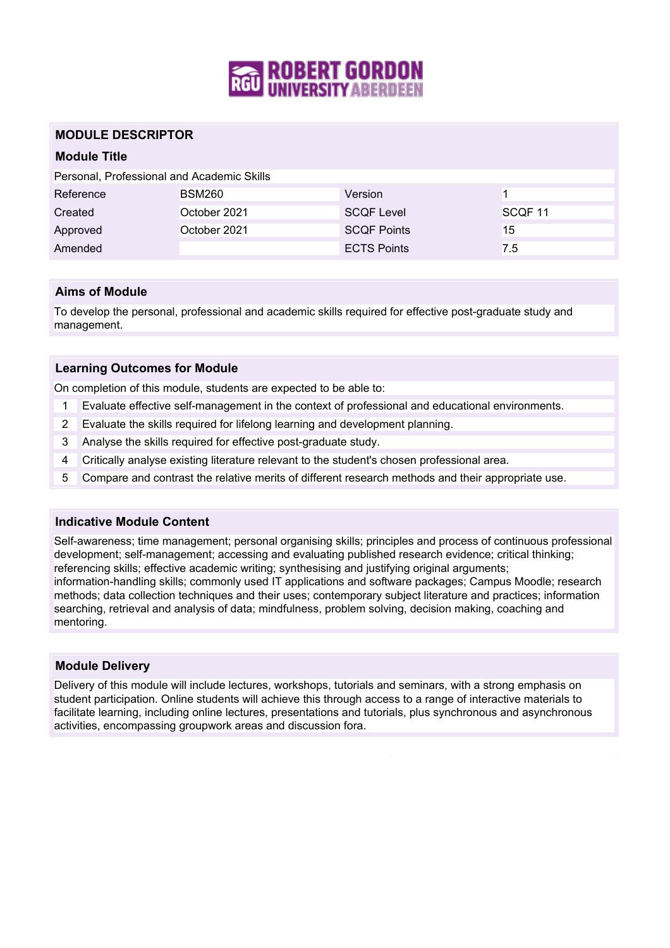

# **MODULE DESCRIPTOR**

# **Module Title**

| Personal, Professional and Academic Skills |  |
|--------------------------------------------|--|
|--------------------------------------------|--|

| Reference | <b>BSM260</b> | Version            |                    |
|-----------|---------------|--------------------|--------------------|
| Created   | October 2021  | <b>SCOF Level</b>  | SCOF <sub>11</sub> |
| Approved  | October 2021  | <b>SCOF Points</b> | 15                 |
| Amended   |               | <b>ECTS Points</b> | 7.5                |

### **Aims of Module**

To develop the personal, professional and academic skills required for effective post-graduate study and management.

### **Learning Outcomes for Module**

On completion of this module, students are expected to be able to:

- 1 Evaluate effective self-management in the context of professional and educational environments.
- 2 Evaluate the skills required for lifelong learning and development planning.
- 3 Analyse the skills required for effective post-graduate study.
- 4 Critically analyse existing literature relevant to the student's chosen professional area.
- 5 Compare and contrast the relative merits of different research methods and their appropriate use.

### **Indicative Module Content**

Self-awareness; time management; personal organising skills; principles and process of continuous professional development; self-management; accessing and evaluating published research evidence; critical thinking; referencing skills; effective academic writing; synthesising and justifying original arguments; information-handling skills; commonly used IT applications and software packages; Campus Moodle; research methods; data collection techniques and their uses; contemporary subject literature and practices; information searching, retrieval and analysis of data; mindfulness, problem solving, decision making, coaching and mentoring.

### **Module Delivery**

Delivery of this module will include lectures, workshops, tutorials and seminars, with a strong emphasis on student participation. Online students will achieve this through access to a range of interactive materials to facilitate learning, including online lectures, presentations and tutorials, plus synchronous and asynchronous activities, encompassing groupwork areas and discussion fora.